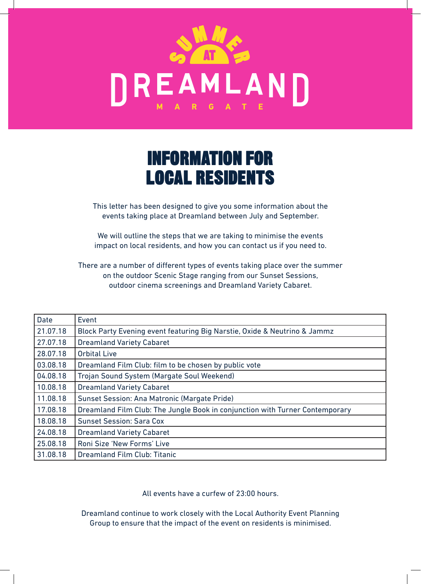

## INFORMATION FOR LOCAL RESIDENTS

This letter has been designed to give you some information about the events taking place at Dreamland between July and September.

We will outline the steps that we are taking to minimise the events impact on local residents, and how you can contact us if you need to.

There are a number of different types of events taking place over the summer on the outdoor Scenic Stage ranging from our Sunset Sessions, outdoor cinema screenings and Dreamland Variety Cabaret.

| <b>Date</b> | Event                                                                        |
|-------------|------------------------------------------------------------------------------|
| 21.07.18    | Block Party Evening event featuring Big Narstie, Oxide & Neutrino & Jammz    |
| 27.07.18    | <b>Dreamland Variety Cabaret</b>                                             |
| 28.07.18    | <b>Orbital Live</b>                                                          |
| 03.08.18    | Dreamland Film Club: film to be chosen by public vote                        |
| 04.08.18    | Trojan Sound System (Margate Soul Weekend)                                   |
| 10.08.18    | <b>Dreamland Variety Cabaret</b>                                             |
| 11.08.18    | Sunset Session: Ana Matronic (Margate Pride)                                 |
| 17.08.18    | Dreamland Film Club: The Jungle Book in conjunction with Turner Contemporary |
| 18.08.18    | <b>Sunset Session: Sara Cox</b>                                              |
| 24.08.18    | <b>Dreamland Variety Cabaret</b>                                             |
| 25.08.18    | Roni Size 'New Forms' Live                                                   |
| 31.08.18    | Dreamland Film Club: Titanic                                                 |

All events have a curfew of 23:00 hours.

Dreamland continue to work closely with the Local Authority Event Planning Group to ensure that the impact of the event on residents is minimised.